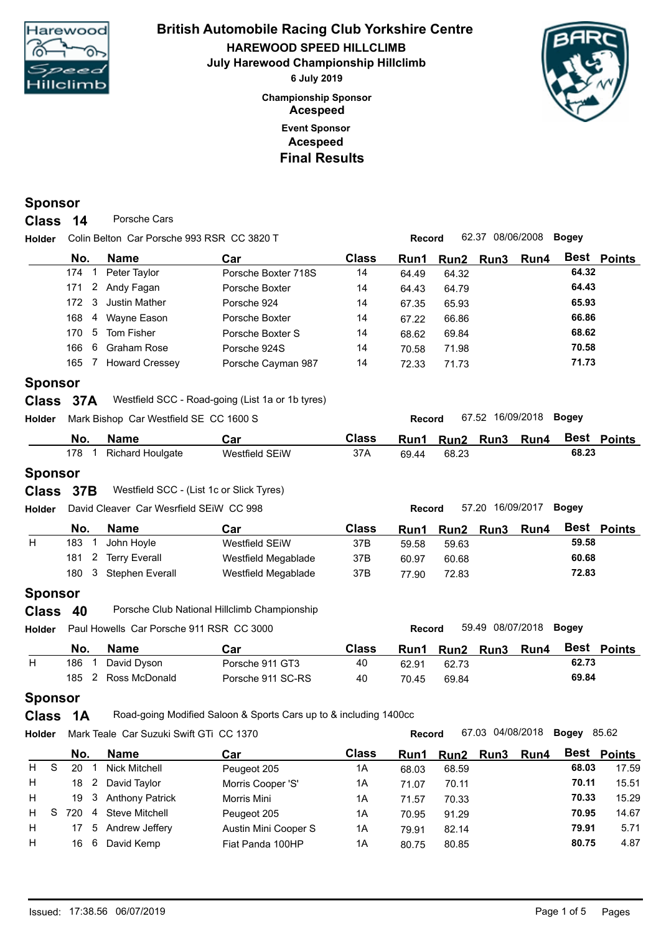

### **Event Sponsor Championship Sponsor HAREWOOD SPEED HILLCLIMB British Automobile Racing Club Yorkshire Centre July Harewood Championship Hillclimb 6 July 2019 Acespeed Acespeed Final Results**



**Holder Record** 67.52 16/09/2018 **Bogey**

**Holder Record** 57.20 16/09/2017 **Bogey**

#### **Sponsor**

**Class** 14 Porsche Cars

**Holder Record** 62.37 08/06/2008 **Bogey** Colin Belton Car Porsche 993 RSR CC 3820 T

| No.                   | <b>Name</b>           | Car                 | <b>Class</b> | Run1  | Run2 Run3 | <b>Run4</b> | Best Points |  |
|-----------------------|-----------------------|---------------------|--------------|-------|-----------|-------------|-------------|--|
| 174                   | Peter Taylor          | Porsche Boxter 718S | 14           | 64.49 | 64.32     |             | 64.32       |  |
| $\overline{2}$<br>171 | Andy Fagan            | Porsche Boxter      | 14           | 64.43 | 64.79     |             | 64.43       |  |
| - 3<br>172.           | Justin Mather         | Porsche 924         | 14           | 67.35 | 65.93     |             | 65.93       |  |
| 168<br>4              | Wayne Eason           | Porsche Boxter      | 14           | 67.22 | 66.86     |             | 66.86       |  |
| 170.                  | 5 Tom Fisher          | Porsche Boxter S    | 14           | 68.62 | 69.84     |             | 68.62       |  |
| 6<br>166              | Graham Rose           | Porsche 924S        | 14           | 70.58 | 71.98     |             | 70.58       |  |
| 165                   | <b>Howard Cressey</b> | Porsche Cayman 987  | 14           | 72.33 | 71.73     |             | 71.73       |  |
|                       |                       |                     |              |       |           |             |             |  |

#### **Sponsor**

| Class 37A |  | Westfield SCC - Road-going (List 1a or 1b tyres) |
|-----------|--|--------------------------------------------------|
|-----------|--|--------------------------------------------------|

| Holder Mark Bishop Car Westfield SE CC 1600 S |
|-----------------------------------------------|
|-----------------------------------------------|

| No. | Name                    | Car            | <b>Class</b> | Run1  | Run2  | Run3 | Run4 | <b>Best</b> | Points |
|-----|-------------------------|----------------|--------------|-------|-------|------|------|-------------|--------|
| 178 | <b>Richard Houlgate</b> | Westfield SEiW | 37A          | 69.44 | 68.23 |      |      | 68.23       |        |

### **Sponsor**

#### **Class** 37B Westfield SCC - (List 1c or Slick Tyres)

|  | <b>Holder</b> David Cleaver Car Wesrfield SEIW CC 998 |  |
|--|-------------------------------------------------------|--|
|  |                                                       |  |

| No. | <b>Name</b>         | Car                 | Class | Run1  | Run2  | <b>Run3</b> | Run4 | Best  | Points |
|-----|---------------------|---------------------|-------|-------|-------|-------------|------|-------|--------|
| 183 | John Hovle          | Westfield SEiW      | 37B   | 59.58 | 59.63 |             |      | 59.58 |        |
|     | 181 2 Terry Everall | Westfield Megablade | 37B   | 60.97 | 60.68 |             |      | 60.68 |        |
| 180 | Stephen Everall     | Westfield Megablade | 37B   | 77.90 | 72.83 |             |      | 72.83 |        |
|     |                     |                     |       |       |       |             |      |       |        |

### **Sponsor**

| Class 40 |  | Porsche Club National Hillclimb Championship |
|----------|--|----------------------------------------------|
|----------|--|----------------------------------------------|

**Holder Record** 59.49 08/07/2018 **Bogey** Paul Howells Car Porsche 911 RSR CC 3000

| No. | <b>Name</b>   | Car               | <b>Class</b> | Run1  | Run <sub>2</sub> | Run3 | Run4 | Best  | <b>Points</b> |
|-----|---------------|-------------------|--------------|-------|------------------|------|------|-------|---------------|
| 186 | David Dyson   | Porsche 911 GT3   | 40           | 62.91 | 62.73            |      |      | 62.73 |               |
| 185 | Ross McDonald | Porsche 911 SC-RS | 40           | 70.45 | 69.84            |      |      | 69.84 |               |

## **Sponsor**

**Class 1A** Road-going Modified Saloon & Sports Cars up to & including 1400cc

**Holder Record** 67.03 04/08/2018 **Bogey** Mark Teale Car Suzuki Swift GTi CC 1370 **No. Name Car Class <b>Run1 Run2 <b>Run3 Run4 Best 2014 Perception 2015 14 68.03 68.59 68.03 68.03** 67.03 04/08/2018 Bogey 85.62 **Best Points Car** H S 20 1 Nick Mitchell Peugeot 205 1A 68.03 68.59 **68.03** 17.59 H 18 2 David Taylor Morris Cooper 'S' 1A 71.07 70.11 **70.11** 15.51 H 19 3 Anthony Patrick Morris Mini 1A 71.57 70.33 **70.33** 15.29 H S 720 4 Steve Mitchell Peugeot 205 1A 70.95 91.29 **70.95** 14.67 H 17 5 Andrew Jeffery Austin Mini Cooper S 1A 79.91 82.14 **79.91** 5.71 H 16 6 David Kemp Fiat Panda 100HP 1A 80.75 80.85 **80.75** 4.87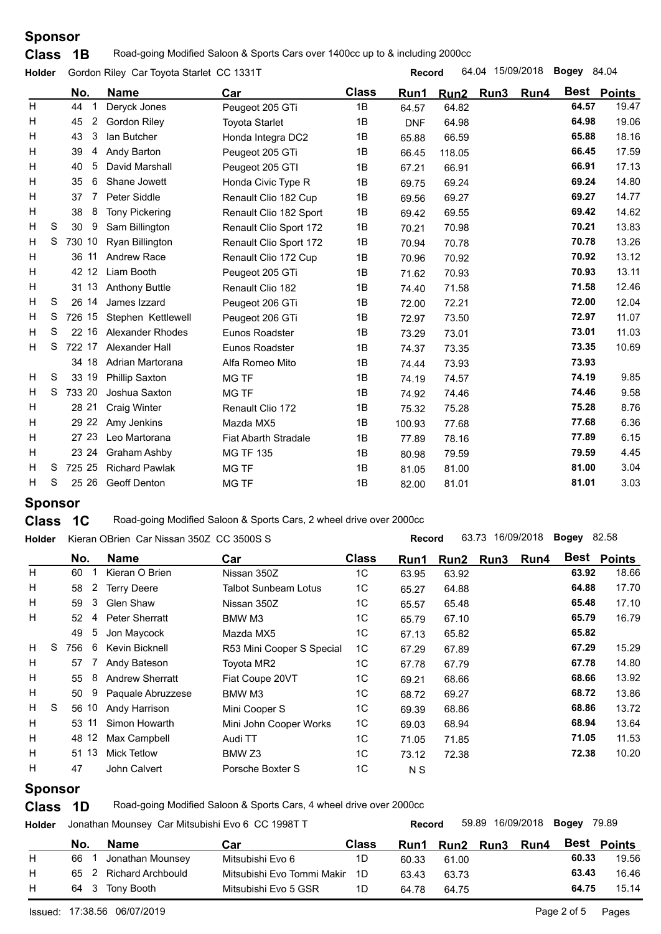# **Sponsor**

**Class** 1B Road-going Modified Saloon & Sports Cars over 1400cc up to & including 2000cc

| Holder |   |         | Gordon Riley Car Toyota Starlet CC 1331T |                             |              | <b>Record</b> |        | 64.04 15/09/2018 |           | <b>Bogey 84.04</b> |               |
|--------|---|---------|------------------------------------------|-----------------------------|--------------|---------------|--------|------------------|-----------|--------------------|---------------|
|        |   | No.     | <b>Name</b>                              | Car                         | <b>Class</b> | Run1          | Run2   |                  | Run3 Run4 | Best               | <b>Points</b> |
| H      |   | 44      | Deryck Jones                             | Peugeot 205 GTi             | 1B           | 64.57         | 64.82  |                  |           | 64.57              | 19.47         |
| H      |   | 2<br>45 | <b>Gordon Riley</b>                      | <b>Toyota Starlet</b>       | 1B           | <b>DNF</b>    | 64.98  |                  |           | 64.98              | 19.06         |
| н      |   | 3<br>43 | lan Butcher                              | Honda Integra DC2           | 1B           | 65.88         | 66.59  |                  |           | 65.88              | 18.16         |
| н      |   | 39<br>4 | Andy Barton                              | Peugeot 205 GTi             | 1B           | 66.45         | 118.05 |                  |           | 66.45              | 17.59         |
| н      |   | 5<br>40 | David Marshall                           | Peugeot 205 GTI             | 1B           | 67.21         | 66.91  |                  |           | 66.91              | 17.13         |
| н      |   | 6<br>35 | Shane Jowett                             | Honda Civic Type R          | 1B           | 69.75         | 69.24  |                  |           | 69.24              | 14.80         |
| H      |   | 7<br>37 | Peter Siddle                             | Renault Clio 182 Cup        | 1B           | 69.56         | 69.27  |                  |           | 69.27              | 14.77         |
| н      |   | 8<br>38 | <b>Tony Pickering</b>                    | Renault Clio 182 Sport      | 1B           | 69.42         | 69.55  |                  |           | 69.42              | 14.62         |
| н      | S | 30<br>9 | Sam Billington                           | Renault Clio Sport 172      | 1B           | 70.21         | 70.98  |                  |           | 70.21              | 13.83         |
| H      | S | 730 10  | Ryan Billington                          | Renault Clio Sport 172      | 1B           | 70.94         | 70.78  |                  |           | 70.78              | 13.26         |
| H      |   | 36 11   | <b>Andrew Race</b>                       | Renault Clio 172 Cup        | 1B           | 70.96         | 70.92  |                  |           | 70.92              | 13.12         |
| н      |   | 42 12   | Liam Booth                               | Peugeot 205 GTi             | 1B           | 71.62         | 70.93  |                  |           | 70.93              | 13.11         |
| H      |   | 31 13   | <b>Anthony Buttle</b>                    | Renault Clio 182            | 1B           | 74.40         | 71.58  |                  |           | 71.58              | 12.46         |
| н      | S | 26 14   | James Izzard                             | Peugeot 206 GTi             | 1B           | 72.00         | 72.21  |                  |           | 72.00              | 12.04         |
| н      | S | 726 15  | Stephen Kettlewell                       | Peugeot 206 GTi             | 1B           | 72.97         | 73.50  |                  |           | 72.97              | 11.07         |
| H      | S | 22 16   | Alexander Rhodes                         | Eunos Roadster              | 1B           | 73.29         | 73.01  |                  |           | 73.01              | 11.03         |
| H      | S | 722 17  | Alexander Hall                           | Eunos Roadster              | 1B           | 74.37         | 73.35  |                  |           | 73.35              | 10.69         |
|        |   | 34 18   | Adrian Martorana                         | Alfa Romeo Mito             | 1B           | 74.44         | 73.93  |                  |           | 73.93              |               |
| H      | S | 33 19   | <b>Phillip Saxton</b>                    | MG TF                       | 1B           | 74.19         | 74.57  |                  |           | 74.19              | 9.85          |
| н      | S | 733 20  | Joshua Saxton                            | <b>MG TF</b>                | 1B           | 74.92         | 74.46  |                  |           | 74.46              | 9.58          |
| н      |   | 28 21   | <b>Craig Winter</b>                      | Renault Clio 172            | 1B           | 75.32         | 75.28  |                  |           | 75.28              | 8.76          |
| H      |   | 29 22   | Amy Jenkins                              | Mazda MX5                   | 1B           | 100.93        | 77.68  |                  |           | 77.68              | 6.36          |
| H      |   | 27 23   | Leo Martorana                            | <b>Fiat Abarth Stradale</b> | 1B           | 77.89         | 78.16  |                  |           | 77.89              | 6.15          |
| н      |   | 23 24   | <b>Graham Ashby</b>                      | <b>MG TF 135</b>            | 1B           | 80.98         | 79.59  |                  |           | 79.59              | 4.45          |
| H      | S | 725 25  | <b>Richard Pawlak</b>                    | <b>MG TF</b>                | 1B           | 81.05         | 81.00  |                  |           | 81.00              | 3.04          |
| H.     | S | 25 26   | <b>Geoff Denton</b>                      | <b>MG TF</b>                | 1B           | 82.00         | 81.01  |                  |           | 81.01              | 3.03          |
|        |   |         |                                          |                             |              |               |        |                  |           |                    |               |

# **Sponsor**

**Class 1C** Road-going Modified Saloon & Sports Cars, 2 wheel drive over 2000cc

| <b>Holder</b>     |     |                | Kieran OBrien Car Nissan 350Z CC 3500S S |                             |                | <b>Record</b>  |       | 63.73 16/09/2018 |      | Bogey | 82.58              |
|-------------------|-----|----------------|------------------------------------------|-----------------------------|----------------|----------------|-------|------------------|------|-------|--------------------|
|                   |     | No.            | <b>Name</b>                              | Car                         | <b>Class</b>   | Run1           | Run2  | Run3             | Run4 |       | <b>Best Points</b> |
| H                 | 60  |                | Kieran O Brien                           | Nissan 350Z                 | 1C             | 63.95          | 63.92 |                  |      | 63.92 | 18.66              |
| H                 | 58  | $\overline{2}$ | <b>Terry Deere</b>                       | <b>Talbot Sunbeam Lotus</b> | 1C             | 65.27          | 64.88 |                  |      | 64.88 | 17.70              |
| H                 | 59  | 3              | <b>Glen Shaw</b>                         | Nissan 350Z                 | 1C             | 65.57          | 65.48 |                  |      | 65.48 | 17.10              |
| H                 | 52  | 4              | <b>Peter Sherratt</b>                    | BMW M3                      | 1C             | 65.79          | 67.10 |                  |      | 65.79 | 16.79              |
|                   | 49  | 5              | Jon Maycock                              | Mazda MX5                   | 1 <sup>C</sup> | 67.13          | 65.82 |                  |      | 65.82 |                    |
| H<br><sub>S</sub> | 756 | 6              | Kevin Bicknell                           | R53 Mini Cooper S Special   | 1C             | 67.29          | 67.89 |                  |      | 67.29 | 15.29              |
| H                 | 57  |                | Andy Bateson                             | Toyota MR2                  | 1C             | 67.78          | 67.79 |                  |      | 67.78 | 14.80              |
| H                 | 55  | 8              | <b>Andrew Sherratt</b>                   | Fiat Coupe 20VT             | 1C             | 69.21          | 68.66 |                  |      | 68.66 | 13.92              |
| H                 | 50  | 9              | Paquale Abruzzese                        | BMW M3                      | 1C             | 68.72          | 69.27 |                  |      | 68.72 | 13.86              |
| H<br>-S           |     | 56 10          | Andy Harrison                            | Mini Cooper S               | 1C             | 69.39          | 68.86 |                  |      | 68.86 | 13.72              |
| H                 |     | 53 11          | Simon Howarth                            | Mini John Cooper Works      | 1C             | 69.03          | 68.94 |                  |      | 68.94 | 13.64              |
| H                 |     | 48 12          | Max Campbell                             | Audi TT                     | 1C             | 71.05          | 71.85 |                  |      | 71.05 | 11.53              |
| H                 |     | 51 13          | <b>Mick Tetlow</b>                       | BMW Z3                      | 1C             | 73.12          | 72.38 |                  |      | 72.38 | 10.20              |
| H                 | 47  |                | John Calvert                             | Porsche Boxter S            | 1C             | N <sub>S</sub> |       |                  |      |       |                    |

## **Sponsor**

**Class 1D** Road-going Modified Saloon & Sports Cars, 4 wheel drive over 2000cc

|   |     |                   |                            |              |       |       |             | 59.89 16/09/2018 |       | <b>Bogey 79.89</b> |
|---|-----|-------------------|----------------------------|--------------|-------|-------|-------------|------------------|-------|--------------------|
|   | No. | <b>Name</b>       | Car                        | <b>Class</b> | Run1  | Run2  | <b>Run3</b> | Run4             | Best  | Points             |
| Н | 66  | Jonathan Mounsey  | Mitsubishi Evo 6           | 1D           | 60.33 | 61.00 |             |                  | 60.33 | 19.56              |
| н | 65  | Richard Archbould | Mitsubishi Evo Tommi Makir | 1D           | 63.43 | 63.73 |             |                  | 63.43 | 16.46              |
| Н |     | 64 3 Tony Booth   | Mitsubishi Evo 5 GSR       | 1D           | 64.78 | 64.75 |             |                  | 64.75 | 15.14              |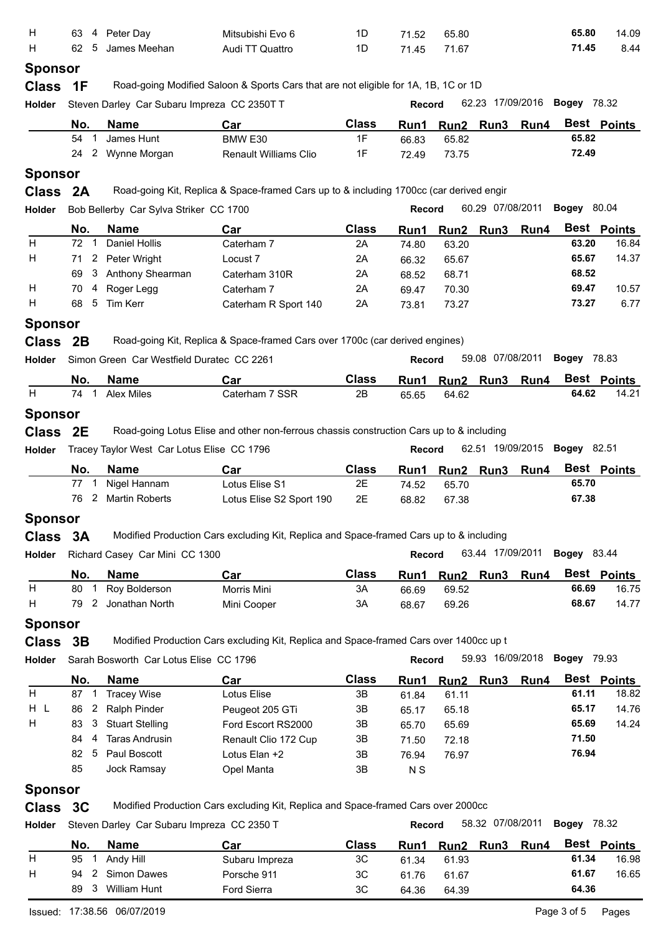| н              | 4<br>63                   | Peter Day                                   | Mitsubishi Evo 6                                                                         | 1D                 | 71.52          | 65.80                     |                  |                | 65.80              | 14.09                |
|----------------|---------------------------|---------------------------------------------|------------------------------------------------------------------------------------------|--------------------|----------------|---------------------------|------------------|----------------|--------------------|----------------------|
| н              | 5<br>62                   | James Meehan                                | Audi TT Quattro                                                                          | 1D                 | 71.45          | 71.67                     |                  |                | 71.45              | 8.44                 |
| <b>Sponsor</b> |                           |                                             |                                                                                          |                    |                |                           |                  |                |                    |                      |
| <b>Class</b>   | 1F                        |                                             | Road-going Modified Saloon & Sports Cars that are not eligible for 1A, 1B, 1C or 1D      |                    |                |                           | 62.23 17/09/2016 |                | <b>Bogey 78.32</b> |                      |
| Holder         |                           | Steven Darley Car Subaru Impreza CC 2350T T |                                                                                          |                    | <b>Record</b>  |                           |                  |                |                    |                      |
|                | No.                       | <b>Name</b>                                 | Car                                                                                      | <b>Class</b>       | Run1           | Run2                      | Run <sub>3</sub> | Run4           |                    | Best Points          |
|                | 54<br>$\overline{1}$      | James Hunt                                  | BMW E30                                                                                  | 1F                 | 66.83          | 65.82                     |                  |                | 65.82              |                      |
|                | 24<br>2                   | Wynne Morgan                                | Renault Williams Clio                                                                    | 1F                 | 72.49          | 73.75                     |                  |                | 72.49              |                      |
| <b>Sponsor</b> |                           |                                             |                                                                                          |                    |                |                           |                  |                |                    |                      |
| <b>Class</b>   | 2A                        |                                             | Road-going Kit, Replica & Space-framed Cars up to & including 1700cc (car derived engir  |                    |                |                           |                  |                |                    |                      |
| Holder         |                           | Bob Bellerby Car Sylva Striker CC 1700      |                                                                                          |                    | <b>Record</b>  |                           | 60.29 07/08/2011 |                | <b>Bogey 80.04</b> |                      |
|                | No.                       | <b>Name</b>                                 | Car                                                                                      | <b>Class</b>       | Run1           | Run2                      | Run3             | Run4           |                    | Best Points          |
| H.             | $\overline{1}$<br>72      | <b>Daniel Hollis</b>                        | Caterham 7                                                                               | 2A                 | 74.80          | 63.20                     |                  |                | 63.20              | 16.84                |
| н              | 2<br>71                   | Peter Wright                                | Locust <sub>7</sub>                                                                      | 2A                 | 66.32          | 65.67                     |                  |                | 65.67              | 14.37                |
|                | 3<br>69                   | Anthony Shearman                            | Caterham 310R                                                                            | 2A                 | 68.52          | 68.71                     |                  |                | 68.52              |                      |
| н              | 70<br>4                   | Roger Legg                                  | Caterham 7                                                                               | 2A                 | 69.47          | 70.30                     |                  |                | 69.47              | 10.57                |
| н              | $5\phantom{.0}$<br>68     | Tim Kerr                                    | Caterham R Sport 140                                                                     | 2A                 | 73.81          | 73.27                     |                  |                | 73.27              | 6.77                 |
| <b>Sponsor</b> |                           |                                             |                                                                                          |                    |                |                           |                  |                |                    |                      |
| <b>Class</b>   | 2B                        |                                             | Road-going Kit, Replica & Space-framed Cars over 1700c (car derived engines)             |                    |                |                           |                  |                |                    |                      |
| Holder         |                           | Simon Green Car Westfield Duratec CC 2261   |                                                                                          |                    | <b>Record</b>  |                           | 59.08 07/08/2011 |                | <b>Bogey 78.83</b> |                      |
|                | No.                       | <b>Name</b>                                 | Car                                                                                      | <b>Class</b>       | Run1           |                           |                  | Run2 Run3 Run4 |                    | Best Points          |
| H              | 74<br>$\overline{1}$      | <b>Alex Miles</b>                           | Caterham 7 SSR                                                                           | 2B                 | 65.65          | 64.62                     |                  |                | 64.62              | 14.21                |
| <b>Sponsor</b> |                           |                                             |                                                                                          |                    |                |                           |                  |                |                    |                      |
| <b>Class</b>   | 2E                        |                                             | Road-going Lotus Elise and other non-ferrous chassis construction Cars up to & including |                    |                |                           |                  |                |                    |                      |
|                |                           |                                             |                                                                                          |                    |                |                           |                  |                |                    |                      |
| Holder         |                           | Tracey Taylor West Car Lotus Elise CC 1796  |                                                                                          |                    | <b>Record</b>  |                           | 62.51 19/09/2015 |                | <b>Bogey</b> 82.51 |                      |
|                | No.                       | <b>Name</b>                                 | Car                                                                                      | <b>Class</b>       | Run1           | Run2                      | Run3             | Run4           |                    | Best Points          |
|                | 77                        | Nigel Hannam                                | Lotus Elise S1                                                                           | 2E                 | 74.52          | 65.70                     |                  |                | 65.70              |                      |
|                | 76                        | 2 Martin Roberts                            | Lotus Elise S2 Sport 190                                                                 | 2E                 | 68.82          | 67.38                     |                  |                | 67.38              |                      |
| <b>Sponsor</b> |                           |                                             |                                                                                          |                    |                |                           |                  |                |                    |                      |
| <b>Class</b>   | 3A                        |                                             | Modified Production Cars excluding Kit, Replica and Space-framed Cars up to & including  |                    |                |                           |                  |                |                    |                      |
| Holder         |                           | Richard Casey Car Mini CC 1300              |                                                                                          |                    | Record         |                           | 63.44 17/09/2011 |                | <b>Bogey</b> 83.44 |                      |
|                | No.                       | <b>Name</b>                                 | Car                                                                                      | <b>Class</b>       | Run1           |                           | Run2 Run3        | Run4           |                    | Best Points          |
| н              | 80<br>$\mathbf{1}$        | Roy Bolderson                               | Morris Mini                                                                              | 3A                 | 66.69          | 69.52                     |                  |                | 66.69              | 16.75                |
| н              | $\overline{2}$<br>79      | Jonathan North                              | Mini Cooper                                                                              | 3A                 | 68.67          | 69.26                     |                  |                | 68.67              | 14.77                |
|                |                           |                                             |                                                                                          |                    |                |                           |                  |                |                    |                      |
| <b>Sponsor</b> |                           |                                             |                                                                                          |                    |                |                           |                  |                |                    |                      |
| <b>Class</b>   | 3B                        |                                             | Modified Production Cars excluding Kit, Replica and Space-framed Cars over 1400cc up t   |                    |                |                           |                  |                |                    |                      |
| Holder         |                           | Sarah Bosworth Car Lotus Elise CC 1796      |                                                                                          |                    | Record         |                           | 59.93 16/09/2018 |                | <b>Bogey 79.93</b> |                      |
|                | No.                       | <b>Name</b>                                 | Car                                                                                      | <b>Class</b>       | Run1           |                           | Run2 Run3        | Run4           |                    | Best Points          |
| H              | 87<br>$\overline{1}$      | <b>Tracey Wise</b>                          | Lotus Elise                                                                              | 3B                 | 61.84          | 61.11                     |                  |                | 61.11              | 18.82                |
| H L            | $\mathbf{2}$<br>86        | Ralph Pinder                                | Peugeot 205 GTi                                                                          | 3B                 | 65.17          | 65.18                     |                  |                | 65.17              | 14.76                |
| н              | 3<br>83                   | <b>Stuart Stelling</b>                      | Ford Escort RS2000                                                                       | 3B                 | 65.70          | 65.69                     |                  |                | 65.69              | 14.24                |
|                | 84<br>4                   | <b>Taras Andrusin</b>                       | Renault Clio 172 Cup                                                                     | 3B                 | 71.50          | 72.18                     |                  |                | 71.50              |                      |
|                | 82<br>5                   | Paul Boscott                                | Lotus Elan +2                                                                            | 3B                 | 76.94          | 76.97                     |                  |                | 76.94              |                      |
|                | 85                        | Jock Ramsay                                 | Opel Manta                                                                               | 3B                 | N <sub>S</sub> |                           |                  |                |                    |                      |
| <b>Sponsor</b> |                           |                                             |                                                                                          |                    |                |                           |                  |                |                    |                      |
| Class 3C       |                           |                                             | Modified Production Cars excluding Kit, Replica and Space-framed Cars over 2000cc        |                    |                |                           |                  |                |                    |                      |
| Holder         |                           | Steven Darley Car Subaru Impreza CC 2350 T  |                                                                                          |                    | <b>Record</b>  |                           | 58.32 07/08/2011 |                | <b>Bogey 78.32</b> |                      |
|                |                           |                                             |                                                                                          |                    |                |                           |                  |                |                    |                      |
| н              | No.<br>95<br>$\mathbf{1}$ | <b>Name</b><br>Andy Hill                    | Car<br>Subaru Impreza                                                                    | <b>Class</b><br>3C | Run1<br>61.34  | Run <sub>2</sub><br>61.93 | Run3             | Run4           | 61.34              | Best Points<br>16.98 |
|                |                           |                                             |                                                                                          |                    |                |                           |                  |                |                    |                      |
|                |                           |                                             |                                                                                          |                    |                |                           |                  |                |                    |                      |
| Н              | 2<br>94<br>89<br>3        | <b>Simon Dawes</b><br>William Hunt          | Porsche 911<br>Ford Sierra                                                               | 3C<br>3C           | 61.76<br>64.36 | 61.67<br>64.39            |                  |                | 61.67<br>64.36     | 16.65                |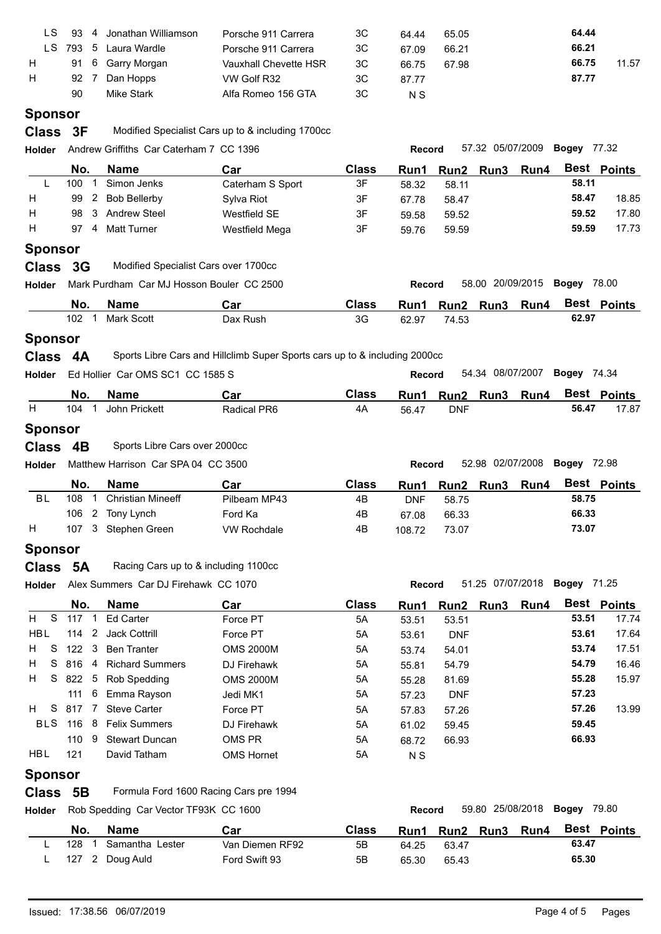| ιS. | 93  | 4 | Jonathan Williamson | Porsche 911 Carrera   | ЗC | 64.44 | 65.05 | 64.44 |       |
|-----|-----|---|---------------------|-----------------------|----|-------|-------|-------|-------|
| LS. | 793 |   | 5 Laura Wardle      | Porsche 911 Carrera   | 3C | 67.09 | 66.21 | 66.21 |       |
| H   |     |   | 91 6 Garry Morgan   | Vauxhall Chevette HSR | 3C | 66.75 | 67.98 | 66.75 | 11.57 |
| H   | 92  |   | Dan Hopps           | VW Golf R32           | ЗC | 87.77 |       | 87.77 |       |
|     | 90  |   | <b>Mike Stark</b>   | Alfa Romeo 156 GTA    | ЗC | N S   |       |       |       |

# **Sponsor**

**Class** 3F Modified Specialist Cars up to & including 1700cc

| Holder         |                       | Andrew Griffiths Car Caterham 7 CC 1396   |                                                                            |              | Record        |                  | 57.32 05/07/2009 |                | <b>Bogey 77.32</b>           |             |
|----------------|-----------------------|-------------------------------------------|----------------------------------------------------------------------------|--------------|---------------|------------------|------------------|----------------|------------------------------|-------------|
|                | No.                   | <b>Name</b>                               | Car                                                                        | <b>Class</b> | Run1          | Run <sub>2</sub> | Run <sub>3</sub> | Run4           |                              | Best Points |
| -L             | 100<br>-1             | Simon Jenks                               | Caterham S Sport                                                           | 3F           | 58.32         | 58.11            |                  |                | 58.11                        |             |
| H              | $\mathbf{2}$<br>99    | <b>Bob Bellerby</b>                       | Sylva Riot                                                                 | 3F           | 67.78         | 58.47            |                  |                | 58.47                        | 18.85       |
| H              | 98<br>3               | <b>Andrew Steel</b>                       | Westfield SE                                                               | 3F           | 59.58         | 59.52            |                  |                | 59.52                        | 17.80       |
| H              | 97                    | 4 Matt Turner                             | Westfield Mega                                                             | 3F           | 59.76         | 59.59            |                  |                | 59.59                        | 17.73       |
| <b>Sponsor</b> |                       |                                           |                                                                            |              |               |                  |                  |                |                              |             |
| Class 3G       |                       | Modified Specialist Cars over 1700cc      |                                                                            |              |               |                  |                  |                |                              |             |
| Holder         |                       | Mark Purdham Car MJ Hosson Bouler CC 2500 |                                                                            |              | Record        |                  |                  |                | 58.00 20/09/2015 Bogey 78.00 |             |
|                | No.                   | <b>Name</b>                               | Car                                                                        | <b>Class</b> | Run1          |                  |                  | Run2 Run3 Run4 |                              | Best Points |
|                | 102<br>$\mathbf{1}$   | <b>Mark Scott</b>                         | Dax Rush                                                                   | 3G           | 62.97         | 74.53            |                  |                | 62.97                        |             |
| <b>Sponsor</b> |                       |                                           |                                                                            |              |               |                  |                  |                |                              |             |
| Class 4A       |                       |                                           | Sports Libre Cars and Hillclimb Super Sports cars up to & including 2000cc |              |               |                  |                  |                |                              |             |
| Holder         |                       | Ed Hollier Car OMS SC1 CC 1585 S          |                                                                            |              | <b>Record</b> |                  |                  |                | 54.34 08/07/2007 Bogey 74.34 |             |
|                | No.                   | <b>Name</b>                               | Car                                                                        | <b>Class</b> | Run1          |                  | Run2 Run3 Run4   |                |                              | Best Points |
| H              | 104<br>$\mathbf{1}$   | John Prickett                             | Radical PR6                                                                | 4A           | 56.47         | <b>DNF</b>       |                  |                | 56.47                        | 17.87       |
| <b>Sponsor</b> |                       |                                           |                                                                            |              |               |                  |                  |                |                              |             |
| <b>Class</b>   | 4B                    | Sports Libre Cars over 2000cc             |                                                                            |              |               |                  |                  |                |                              |             |
| Holder         |                       | Matthew Harrison Car SPA 04 CC 3500       |                                                                            |              | Record        |                  | 52.98 02/07/2008 |                | <b>Bogey 72.98</b>           |             |
|                | No.                   | <b>Name</b>                               | Car                                                                        | <b>Class</b> | Run1          |                  | Run2 Run3        | Run4           |                              | Best Points |
| <b>BL</b>      | $\mathbf 1$<br>108    | <b>Christian Mineeff</b>                  | Pilbeam MP43                                                               | 4B           | <b>DNF</b>    | 58.75            |                  |                | 58.75                        |             |
|                | 106                   | 2 Tony Lynch                              | Ford Ka                                                                    | 4B           | 67.08         | 66.33            |                  |                | 66.33                        |             |
| H              | 107                   | 3 Stephen Green                           | <b>VW Rochdale</b>                                                         | 4B           | 108.72        | 73.07            |                  |                | 73.07                        |             |
| <b>Sponsor</b> |                       |                                           |                                                                            |              |               |                  |                  |                |                              |             |
| <b>Class</b>   | <b>5A</b>             | Racing Cars up to & including 1100cc      |                                                                            |              |               |                  |                  |                |                              |             |
| <b>Holder</b>  |                       | Alex Summers Car DJ Firehawk CC 1070      |                                                                            |              | Record        |                  |                  |                | 51.25 07/07/2018 Bogey 71.25 |             |
|                | No.                   | <b>Name</b>                               | Car                                                                        | <b>Class</b> | Run1          |                  | Run2 Run3        | Run4           |                              | Best Points |
| S.<br>H.       | 117 1                 | <b>Ed Carter</b>                          | Force PT                                                                   | 5A           | 53.51         | 53.51            |                  |                | 53.51                        | 17.74       |
| <b>HBL</b>     |                       | 114 2 Jack Cottrill                       | Force PT                                                                   | 5A           | 53.61         | <b>DNF</b>       |                  |                | 53.61                        | 17.64       |
| S.<br>H.       |                       | 122 3 Ben Tranter                         | <b>OMS 2000M</b>                                                           | 5A           | 53.74         | 54.01            |                  |                | 53.74                        | 17.51       |
| S<br>H.        |                       | 816 4 Richard Summers                     | DJ Firehawk                                                                | 5A           | 55.81         | 54.79            |                  |                | 54.79                        | 16.46       |
| H.             |                       | S 822 5 Rob Spedding                      | <b>OMS 2000M</b>                                                           | 5A           | 55.28         | 81.69            |                  |                | 55.28                        | 15.97       |
|                | 111                   | 6 Emma Rayson                             | Jedi MK1                                                                   | 5A           | 57.23         | <b>DNF</b>       |                  |                | 57.23                        |             |
| S.<br>H        | 817<br>$\overline{7}$ | <b>Steve Carter</b>                       | Force PT                                                                   | 5A           | 57.83         | 57.26            |                  |                | 57.26                        | 13.99       |
|                | <b>BLS</b> 116<br>8   | <b>Felix Summers</b>                      | DJ Firehawk                                                                | 5A           | 61.02         | 59.45            |                  |                | 59.45                        |             |
|                | 110                   | 9 Stewart Duncan                          | OMS PR                                                                     | 5A           | 68.72         | 66.93            |                  |                | 66.93                        |             |
| HBL            | 121                   | David Tatham                              | OMS Hornet                                                                 | 5A           | N S           |                  |                  |                |                              |             |
| <b>Sponsor</b> |                       |                                           |                                                                            |              |               |                  |                  |                |                              |             |
| Class 5B       |                       |                                           | Formula Ford 1600 Racing Cars pre 1994                                     |              |               |                  |                  |                |                              |             |
| Holder         |                       | Rob Spedding Car Vector TF93K CC 1600     |                                                                            |              | Record        |                  |                  |                | 59.80 25/08/2018 Bogey 79.80 |             |
|                |                       |                                           |                                                                            |              |               |                  |                  |                |                              |             |
|                |                       |                                           |                                                                            |              |               |                  |                  |                |                              |             |